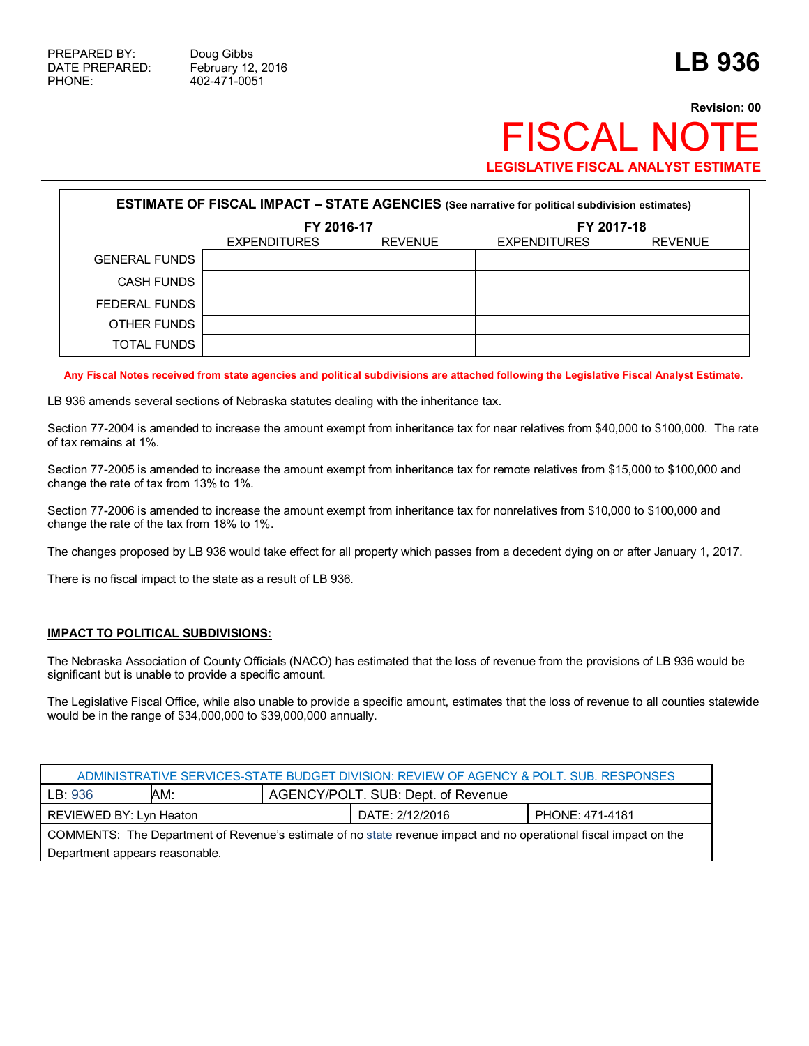# **Revision: 00 FISCAL NOT LEGISLATIVE FISCAL ANALYST ESTIMATE**

| <b>ESTIMATE OF FISCAL IMPACT - STATE AGENCIES</b> (See narrative for political subdivision estimates) |                                       |  |                     |                |  |  |
|-------------------------------------------------------------------------------------------------------|---------------------------------------|--|---------------------|----------------|--|--|
|                                                                                                       | FY 2016-17                            |  | FY 2017-18          |                |  |  |
|                                                                                                       | <b>REVENUE</b><br><b>EXPENDITURES</b> |  | <b>EXPENDITURES</b> | <b>REVENUE</b> |  |  |
| <b>GENERAL FUNDS</b>                                                                                  |                                       |  |                     |                |  |  |
| <b>CASH FUNDS</b>                                                                                     |                                       |  |                     |                |  |  |
| FEDERAL FUNDS                                                                                         |                                       |  |                     |                |  |  |
| OTHER FUNDS                                                                                           |                                       |  |                     |                |  |  |
| TOTAL FUNDS                                                                                           |                                       |  |                     |                |  |  |

**Any Fiscal Notes received from state agencies and political subdivisions are attached following the Legislative Fiscal Analyst Estimate.**

LB 936 amends several sections of Nebraska statutes dealing with the inheritance tax.

Section 77-2004 is amended to increase the amount exempt from inheritance tax for near relatives from \$40,000 to \$100,000. The rate of tax remains at 1%.

Section 77-2005 is amended to increase the amount exempt from inheritance tax for remote relatives from \$15,000 to \$100,000 and change the rate of tax from 13% to 1%.

Section 77-2006 is amended to increase the amount exempt from inheritance tax for nonrelatives from \$10,000 to \$100,000 and change the rate of the tax from 18% to 1%.

The changes proposed by LB 936 would take effect for all property which passes from a decedent dying on or after January 1, 2017.

There is no fiscal impact to the state as a result of LB 936.

### **IMPACT TO POLITICAL SUBDIVISIONS:**

The Nebraska Association of County Officials (NACO) has estimated that the loss of revenue from the provisions of LB 936 would be significant but is unable to provide a specific amount.

The Legislative Fiscal Office, while also unable to provide a specific amount, estimates that the loss of revenue to all counties statewide would be in the range of \$34,000,000 to \$39,000,000 annually.

| ADMINISTRATIVE SERVICES-STATE BUDGET DIVISION: REVIEW OF AGENCY & POLT. SUB. RESPONSES                            |     |                                    |  |  |  |  |
|-------------------------------------------------------------------------------------------------------------------|-----|------------------------------------|--|--|--|--|
| LB: 936                                                                                                           | AM: | AGENCY/POLT. SUB: Dept. of Revenue |  |  |  |  |
| DATE: 2/12/2016<br>PHONE: 471-4181<br>REVIEWED BY: Lyn Heaton                                                     |     |                                    |  |  |  |  |
| COMMENTS: The Department of Revenue's estimate of no state revenue impact and no operational fiscal impact on the |     |                                    |  |  |  |  |
| Department appears reasonable.                                                                                    |     |                                    |  |  |  |  |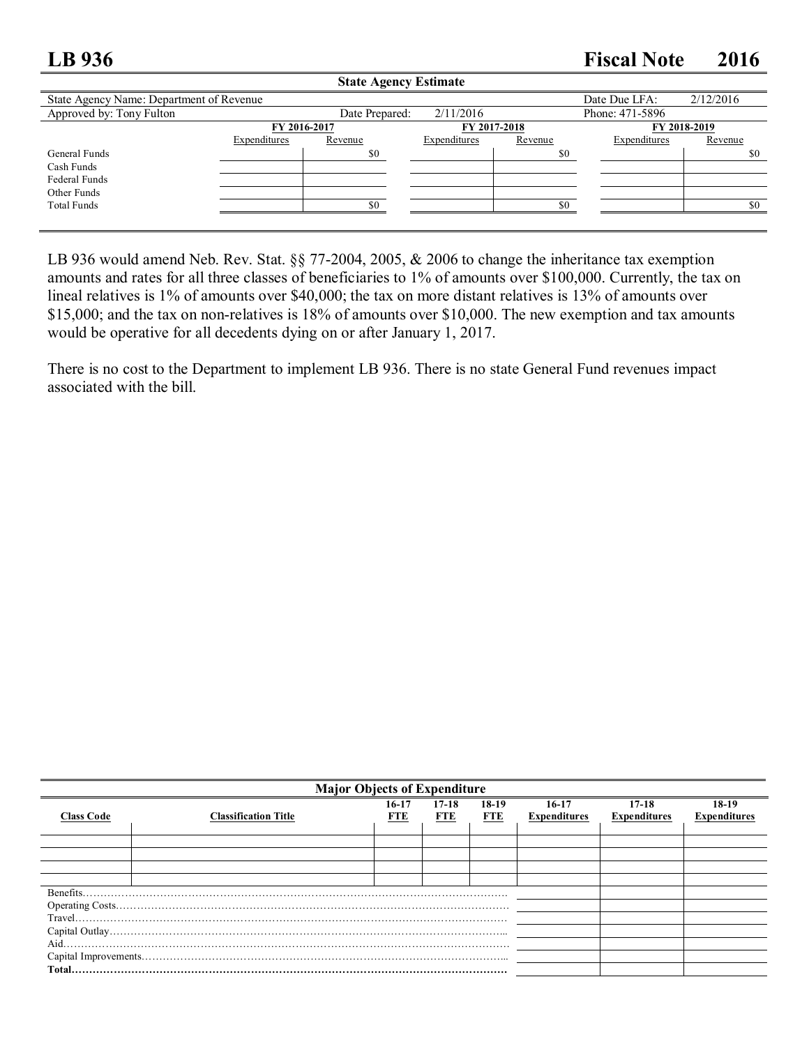## **LB 936 Fiscal Note 2016**

|                                          |              | State Agency Estimate |              |              |                 |           |  |
|------------------------------------------|--------------|-----------------------|--------------|--------------|-----------------|-----------|--|
| State Agency Name: Department of Revenue |              |                       |              |              | Date Due LFA:   | 2/12/2016 |  |
| Approved by: Tony Fulton                 |              | Date Prepared:        | 2/11/2016    |              | Phone: 471-5896 |           |  |
|                                          | FY 2016-2017 |                       |              | FY 2017-2018 | FY 2018-2019    |           |  |
|                                          | Expenditures | Revenue               | Expenditures | Revenue      | Expenditures    | Revenue   |  |
| General Funds                            |              | \$0                   |              | \$0          |                 | \$0       |  |
| Cash Funds                               |              |                       |              |              |                 |           |  |
| Federal Funds                            |              |                       |              |              |                 |           |  |
| Other Funds                              |              |                       |              |              |                 |           |  |
| <b>Total Funds</b>                       |              | \$0                   |              | \$0          |                 | \$0       |  |
|                                          |              |                       |              |              |                 |           |  |
|                                          |              |                       |              |              |                 |           |  |

**State Agency Estimate**

LB 936 would amend Neb. Rev. Stat. §§ 77-2004, 2005, & 2006 to change the inheritance tax exemption amounts and rates for all three classes of beneficiaries to 1% of amounts over \$100,000. Currently, the tax on lineal relatives is 1% of amounts over \$40,000; the tax on more distant relatives is 13% of amounts over \$15,000; and the tax on non-relatives is 18% of amounts over \$10,000. The new exemption and tax amounts would be operative for all decedents dying on or after January 1, 2017.

There is no cost to the Department to implement LB 936. There is no state General Fund revenues impact associated with the bill.

| <b>Major Objects of Expenditure</b> |                             |              |                  |                     |                                |                                  |                                |
|-------------------------------------|-----------------------------|--------------|------------------|---------------------|--------------------------------|----------------------------------|--------------------------------|
| <b>Class Code</b>                   | <b>Classification Title</b> | 16-17<br>FTE | $17 - 18$<br>FTE | 18-19<br><b>FTE</b> | $16-17$<br><b>Expenditures</b> | $17 - 18$<br><b>Expenditures</b> | $18-19$<br><b>Expenditures</b> |
|                                     |                             |              |                  |                     |                                |                                  |                                |
|                                     |                             |              |                  |                     |                                |                                  |                                |
|                                     |                             |              |                  |                     |                                |                                  |                                |
| Benefits.                           |                             |              |                  |                     |                                |                                  |                                |
|                                     |                             |              |                  |                     |                                |                                  |                                |
|                                     |                             |              |                  |                     |                                |                                  |                                |
|                                     |                             |              |                  |                     |                                |                                  |                                |
| Aid.                                |                             |              |                  |                     |                                |                                  |                                |
|                                     |                             |              |                  |                     |                                |                                  |                                |
|                                     |                             |              |                  |                     |                                |                                  |                                |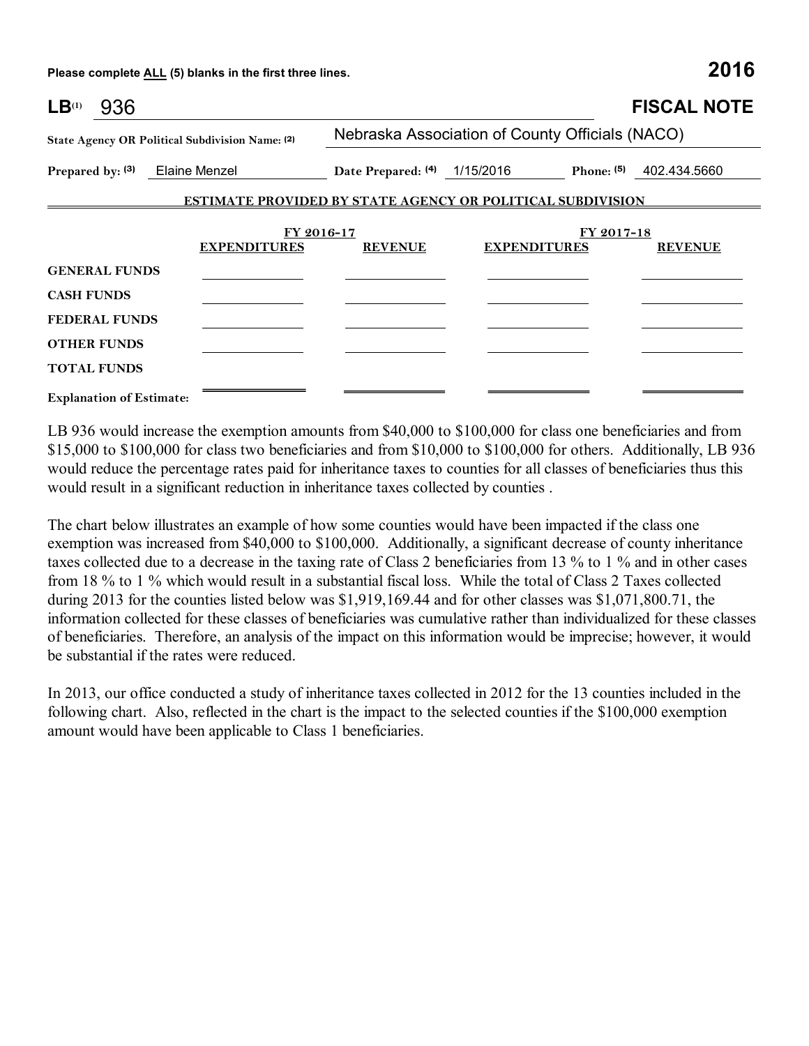**Please complete ALL (5) blanks in the first three lines. 2016**

| LB <sup>(1)</sup><br>936                                                                                      |                                                             |                                                 |                                                                   | <b>FISCAL NOTE</b>           |  |  |
|---------------------------------------------------------------------------------------------------------------|-------------------------------------------------------------|-------------------------------------------------|-------------------------------------------------------------------|------------------------------|--|--|
|                                                                                                               | State Agency OR Political Subdivision Name: (2)             | Nebraska Association of County Officials (NACO) |                                                                   |                              |  |  |
|                                                                                                               | Prepared by: (3) Elaine Menzel Date Prepared: (4) 1/15/2016 |                                                 |                                                                   | Phone: $(5)$ 402.434.5660    |  |  |
|                                                                                                               |                                                             |                                                 | <b>ESTIMATE PROVIDED BY STATE AGENCY OR POLITICAL SUBDIVISION</b> |                              |  |  |
|                                                                                                               | FY 2016-17<br><b>EXPENDITURES</b>                           | <b>REVENUE</b>                                  | <b>EXPENDITURES</b>                                               | FY 2017-18<br><b>REVENUE</b> |  |  |
| <b>GENERAL FUNDS</b><br><b>CASH FUNDS</b><br><b>FEDERAL FUNDS</b><br><b>OTHER FUNDS</b><br><b>TOTAL FUNDS</b> |                                                             |                                                 |                                                                   |                              |  |  |

**Explanation of Estimate:**

LB 936 would increase the exemption amounts from \$40,000 to \$100,000 for class one beneficiaries and from \$15,000 to \$100,000 for class two beneficiaries and from \$10,000 to \$100,000 for others. Additionally, LB 936 would reduce the percentage rates paid for inheritance taxes to counties for all classes of beneficiaries thus this would result in a significant reduction in inheritance taxes collected by counties .

The chart below illustrates an example of how some counties would have been impacted if the class one exemption was increased from \$40,000 to \$100,000. Additionally, a significant decrease of county inheritance taxes collected due to a decrease in the taxing rate of Class 2 beneficiaries from 13 % to 1 % and in other cases from 18 % to 1 % which would result in a substantial fiscal loss. While the total of Class 2 Taxes collected during 2013 for the counties listed below was \$1,919,169.44 and for other classes was \$1,071,800.71, the information collected for these classes of beneficiaries was cumulative rather than individualized for these classes of beneficiaries. Therefore, an analysis of the impact on this information would be imprecise; however, it would be substantial if the rates were reduced.

In 2013, our office conducted a study of inheritance taxes collected in 2012 for the 13 counties included in the following chart. Also, reflected in the chart is the impact to the selected counties if the \$100,000 exemption amount would have been applicable to Class 1 beneficiaries.